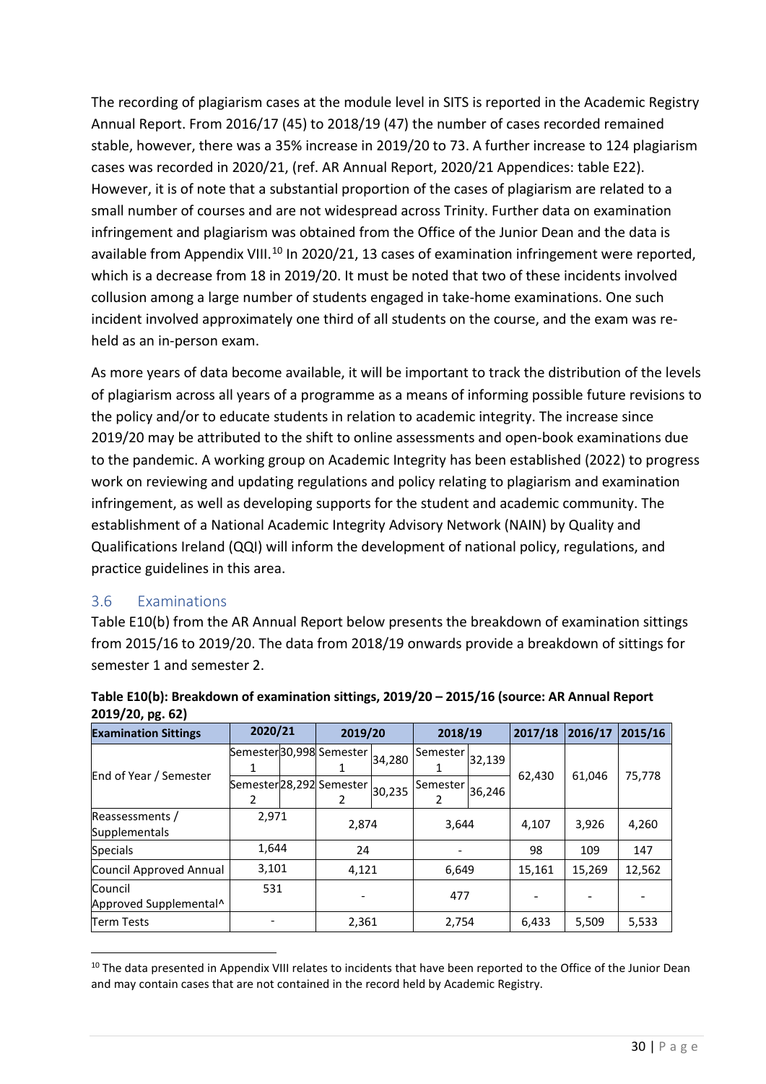The recording of plagiarism cases at the module level in SITS is reported in the Academic Registry Annual Report. From 2016/17 (45) to 2018/19 (47) the number of cases recorded remained stable, however, there was a 35% increase in 2019/20 to 73. A further increase to 124 plagiarism cases was recorded in 2020/21, (ref. AR Annual Report, 2020/21 Appendices: table E22). However, it is of note that a substantial proportion of the cases of plagiarism are related to a small number of courses and are not widespread across Trinity. Further data on examination infringement and plagiarism was obtained from the Office of the Junior Dean and the data is available from Appendix VIII.<sup>[10](#page-29-0)</sup> In 2020/21, 13 cases of examination infringement were reported, which is a decrease from 18 in 2019/20. It must be noted that two of these incidents involved collusion among a large number of students engaged in take-home examinations. One such incident involved approximately one third of all students on the course, and the exam was reheld as an in-person exam.

As more years of data become available, it will be important to the distribution of the levels of plagiarism across all years of a programme as a manufacture possible future revisions to the policy and/or to educate students in relation to a capacitie integrity. The increase since 2019/20 may be attributed to the shift to online assessively is and open-book examinations due to the pandemic. A working group on Academic Integrity has been established (2022) to progress work on reviewing and updating regulations and policy relating solagiarism and examination infringement, as well as developing support for the studient and academic community. The establishment of a National Academic Integrity Advisory Network (NAIN) by Quality and Qualifications Ireland (QQI) will inform the development of national policy, regulations, and practice guidelines in this area. decrease from 18 in 2019/20. It must be noted that two of these incidents invision a large number of students engaged in take-home examinations. One straited approximately one third of all students on the course, and the e

## 3.6 Examin

Table E10(b) for the AR Annual Report below presents the breakdown of examination sittings from 2015/16 to 2019/20. The data from 2018/19 onwards provide a breakdown of sittings for semester 1 and semester 2.

| 2019/20, pg. 62)                  |       |  |                               |        |          |        |         |         |         |
|-----------------------------------|-------|--|-------------------------------|--------|----------|--------|---------|---------|---------|
| <b>Examination Sittings</b>       |       |  | 2019/20                       |        | 2018/19  |        | 2017/18 | 2016/17 | 2015/16 |
| End of Year / Semester            |       |  | Semester 30,998 Semester      | 34,280 | Semester | 32,139 | 62.430  | 61.046  | 75,778  |
|                                   | 2     |  | Semester 28,292 Semester<br>2 | 30,235 | Semester | 36,246 |         |         |         |
| Reassessments /<br>Supplementals  | 2,971 |  | 2,874                         |        | 3,644    |        | 4,107   | 3,926   | 4,260   |
| <b>Specials</b>                   | 1,644 |  | 24                            |        |          |        | 98      | 109     | 147     |
| Council Approved Annual           | 3,101 |  | 4,121                         |        | 6,649    |        | 15,161  | 15,269  | 12,562  |
| Council<br>Approved Supplemental^ | 531   |  |                               |        | 477      |        |         |         |         |
| Term Tests                        |       |  | 2,361                         |        | 2,754    |        | 6,433   | 5,509   | 5,533   |

## Table E10(b): Breakdown of examination sittings, 2019/20 – 2015/16 (source: AR Annual Report **2019/20, pg. 62)**

<span id="page-29-0"></span><sup>&</sup>lt;sup>10</sup> The data presented in Appendix VIII relates to incidents that have been reported to the Office of the Junior Dean and may contain cases that are not contained in the record held by Academic Registry.